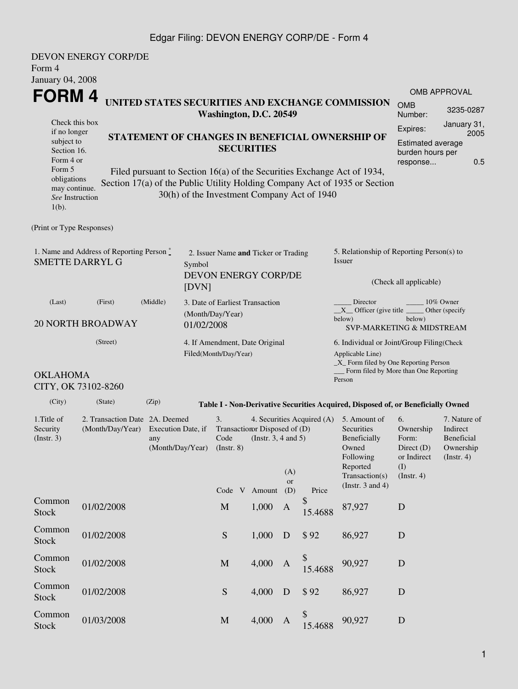### Edgar Filing: DEVON ENERGY CORP/DE - Form 4

|                                                                                                                                                                                                                                                                               | <b>DEVON ENERGY CORP/DE</b> |                                                                                                  |  |                                                                   |                                                         |                                                                 |                                       |                                                                                                                                                         |                                                                                  |                                                                    |  |  |
|-------------------------------------------------------------------------------------------------------------------------------------------------------------------------------------------------------------------------------------------------------------------------------|-----------------------------|--------------------------------------------------------------------------------------------------|--|-------------------------------------------------------------------|---------------------------------------------------------|-----------------------------------------------------------------|---------------------------------------|---------------------------------------------------------------------------------------------------------------------------------------------------------|----------------------------------------------------------------------------------|--------------------------------------------------------------------|--|--|
| Form 4                                                                                                                                                                                                                                                                        |                             |                                                                                                  |  |                                                                   |                                                         |                                                                 |                                       |                                                                                                                                                         |                                                                                  |                                                                    |  |  |
| January 04, 2008                                                                                                                                                                                                                                                              |                             |                                                                                                  |  |                                                                   |                                                         |                                                                 |                                       |                                                                                                                                                         |                                                                                  |                                                                    |  |  |
| FORM 4                                                                                                                                                                                                                                                                        |                             |                                                                                                  |  |                                                                   |                                                         |                                                                 |                                       |                                                                                                                                                         |                                                                                  | <b>OMB APPROVAL</b>                                                |  |  |
|                                                                                                                                                                                                                                                                               |                             |                                                                                                  |  | Washington, D.C. 20549                                            |                                                         |                                                                 |                                       | UNITED STATES SECURITIES AND EXCHANGE COMMISSION                                                                                                        | <b>OMB</b><br>Number:                                                            | 3235-0287                                                          |  |  |
| Check this box<br>if no longer                                                                                                                                                                                                                                                |                             |                                                                                                  |  |                                                                   |                                                         |                                                                 |                                       |                                                                                                                                                         | Expires:                                                                         | January 31,<br>2005                                                |  |  |
| subject to<br>Section 16.<br>Form 4 or                                                                                                                                                                                                                                        |                             |                                                                                                  |  | <b>SECURITIES</b>                                                 | STATEMENT OF CHANGES IN BENEFICIAL OWNERSHIP OF         | <b>Estimated average</b><br>burden hours per<br>0.5<br>response |                                       |                                                                                                                                                         |                                                                                  |                                                                    |  |  |
| Form 5<br>Filed pursuant to Section 16(a) of the Securities Exchange Act of 1934,<br>obligations<br>Section 17(a) of the Public Utility Holding Company Act of 1935 or Section<br>may continue.<br>30(h) of the Investment Company Act of 1940<br>See Instruction<br>$1(b)$ . |                             |                                                                                                  |  |                                                                   |                                                         |                                                                 |                                       |                                                                                                                                                         |                                                                                  |                                                                    |  |  |
| (Print or Type Responses)                                                                                                                                                                                                                                                     |                             |                                                                                                  |  |                                                                   |                                                         |                                                                 |                                       |                                                                                                                                                         |                                                                                  |                                                                    |  |  |
| 1. Name and Address of Reporting Person $\stackrel{*}{\text{-}}$<br><b>SMETTE DARRYL G</b><br>Symbol                                                                                                                                                                          |                             |                                                                                                  |  | 2. Issuer Name and Ticker or Trading                              |                                                         |                                                                 |                                       | 5. Relationship of Reporting Person(s) to<br>Issuer                                                                                                     |                                                                                  |                                                                    |  |  |
|                                                                                                                                                                                                                                                                               | [DVN]                       | <b>DEVON ENERGY CORP/DE</b>                                                                      |  |                                                                   |                                                         | (Check all applicable)                                          |                                       |                                                                                                                                                         |                                                                                  |                                                                    |  |  |
| (Last)<br>(First)<br>(Middle)<br><b>20 NORTH BROADWAY</b>                                                                                                                                                                                                                     |                             |                                                                                                  |  | 3. Date of Earliest Transaction<br>(Month/Day/Year)<br>01/02/2008 |                                                         |                                                                 |                                       | Director<br>10% Owner<br>$X$ Officer (give title $\overline{\phantom{a}}$<br>Other (specify<br>below)<br>below)<br><b>SVP-MARKETING &amp; MIDSTREAM</b> |                                                                                  |                                                                    |  |  |
| (Street)                                                                                                                                                                                                                                                                      |                             |                                                                                                  |  | 4. If Amendment, Date Original<br>Filed(Month/Day/Year)           |                                                         |                                                                 |                                       | 6. Individual or Joint/Group Filing(Check<br>Applicable Line)<br>_X_ Form filed by One Reporting Person                                                 |                                                                                  |                                                                    |  |  |
| <b>OKLAHOMA</b>                                                                                                                                                                                                                                                               | CITY, OK 73102-8260         | Person                                                                                           |  |                                                                   |                                                         |                                                                 | Form filed by More than One Reporting |                                                                                                                                                         |                                                                                  |                                                                    |  |  |
| (City)                                                                                                                                                                                                                                                                        | (State)                     | (Zip)                                                                                            |  |                                                                   |                                                         |                                                                 |                                       | Table I - Non-Derivative Securities Acquired, Disposed of, or Beneficially Owned                                                                        |                                                                                  |                                                                    |  |  |
| 1. Title of<br>Security<br>(Insert. 3)                                                                                                                                                                                                                                        |                             | 2. Transaction Date 2A. Deemed<br>(Month/Day/Year) Execution Date, if<br>any<br>(Month/Day/Year) |  |                                                                   | Transaction Disposed of (D)<br>(Instr. $3, 4$ and $5$ ) | (A)                                                             |                                       | 4. Securities Acquired (A) 5. Amount of<br>Securities<br>Beneficially<br>Owned<br>Following<br>Reported<br>Transaction(s)                               | 6.<br>Ownership<br>Form:<br>Direct (D)<br>or Indirect<br>(I)<br>$($ Instr. 4 $)$ | 7. Nature of<br>Indirect<br>Beneficial<br>Ownership<br>(Insert. 4) |  |  |
|                                                                                                                                                                                                                                                                               |                             |                                                                                                  |  |                                                                   | Code V Amount                                           | or<br>(D)                                                       | Price                                 | (Instr. $3$ and $4$ )                                                                                                                                   |                                                                                  |                                                                    |  |  |
| Common<br><b>Stock</b>                                                                                                                                                                                                                                                        | 01/02/2008                  |                                                                                                  |  | M                                                                 | 1,000                                                   | A                                                               | \$<br>15.4688                         | 87,927                                                                                                                                                  | D                                                                                |                                                                    |  |  |
| Common<br><b>Stock</b>                                                                                                                                                                                                                                                        | 01/02/2008                  |                                                                                                  |  | ${\mathbf S}$                                                     | 1,000                                                   | D                                                               | \$92                                  | 86,927                                                                                                                                                  | D                                                                                |                                                                    |  |  |

01/02/2008 M 4,000 A

01/03/2008 M 4,000 A

Stock 01/02/2008 Stock 5 4,000 D \$ 92 86,927 D

Common<br>Stock

Common<br>Stock

Common<br>Stock

\$ 15.4688 90,927 <sup>D</sup>

 $$^{90,927}$  D<br>15.4688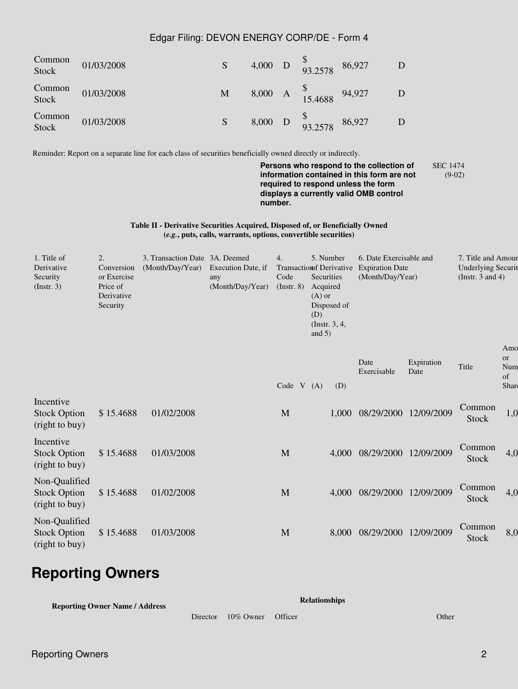#### Edgar Filing: DEVON ENERGY CORP/DE - Form 4

| Common<br>Stock | 01/03/2008 | S |  | 4,000 D $\frac{9}{93.2578}$        | 86,927 |  |
|-----------------|------------|---|--|------------------------------------|--------|--|
| Common<br>Stock | 01/03/2008 | M |  | 8,000 A $^{3}_{15,4688}$ 94,927    |        |  |
| Common<br>Stock | 01/03/2008 | S |  | 8,000 D $\frac{9}{93.2578}$ 86,927 |        |  |

Reminder: Report on a separate line for each class of securities beneficially owned directly or indirectly.

**Persons who respond to the collection of information contained in this form are not required to respond unless the form displays a currently valid OMB control number.** SEC 1474 (9-02)

**Table II - Derivative Securities Acquired, Disposed of, or Beneficially Owned (***e.g.***, puts, calls, warrants, options, convertible securities)**

| 1. Title of<br>Derivative<br>Security<br>(Insert. 3)   | 2.<br>Conversion<br>or Exercise<br>Price of<br>Derivative<br>Security | 3. Transaction Date 3A. Deemed<br>(Month/Day/Year) | Execution Date, if<br>any<br>(Month/Day/Year) | 4.<br>Code<br>$($ Instr. $8)$ | 6. Date Exercisable and<br>5. Number<br><b>Transaction fDerivative</b><br><b>Expiration Date</b><br>Securities<br>(Month/Day/Year)<br>Acquired<br>$(A)$ or<br>Disposed of<br>(D)<br>$($ Instr. 3, 4,<br>and $5)$ |       | 7. Title and Amour<br><b>Underlying Securit</b><br>(Instr. 3 and 4) |                    |                        |                                            |
|--------------------------------------------------------|-----------------------------------------------------------------------|----------------------------------------------------|-----------------------------------------------|-------------------------------|------------------------------------------------------------------------------------------------------------------------------------------------------------------------------------------------------------------|-------|---------------------------------------------------------------------|--------------------|------------------------|--------------------------------------------|
|                                                        |                                                                       |                                                    |                                               | Code                          | V(A)                                                                                                                                                                                                             | (D)   | Date<br>Exercisable                                                 | Expiration<br>Date | Title                  | Amo<br><sub>or</sub><br>Num<br>of<br>Share |
| Incentive<br><b>Stock Option</b><br>(right to buy)     | \$15.4688                                                             | 01/02/2008                                         |                                               | M                             |                                                                                                                                                                                                                  | 1,000 | 08/29/2000                                                          | 12/09/2009         | Common<br><b>Stock</b> | 1,0                                        |
| Incentive<br><b>Stock Option</b><br>(right to buy)     | \$15.4688                                                             | 01/03/2008                                         |                                               | M                             |                                                                                                                                                                                                                  | 4,000 | 08/29/2000                                                          | 12/09/2009         | Common<br><b>Stock</b> | 4,0                                        |
| Non-Qualified<br><b>Stock Option</b><br>(right to buy) | \$15.4688                                                             | 01/02/2008                                         |                                               | M                             |                                                                                                                                                                                                                  | 4,000 | 08/29/2000                                                          | 12/09/2009         | Common<br><b>Stock</b> | 4,0                                        |
| Non-Qualified<br><b>Stock Option</b><br>(right to buy) | \$15.4688                                                             | 01/03/2008                                         |                                               | M                             |                                                                                                                                                                                                                  | 8,000 | 08/29/2000                                                          | 12/09/2009         | Common<br>Stock        | 8,0                                        |

# **Reporting Owners**

**Reporting Owner Name / Address**

```
Relationships
```
Director 10% Owner Officer Context Community Community Community Community Community Community Community Community Community Community Community Community Community Community Community Community Community Community Communi